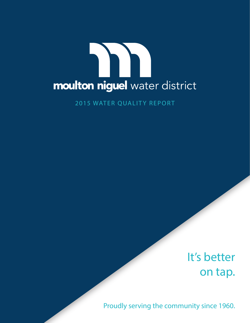

2015 WATER QUALITY REPORT

# It's better on tap.

Proudly serving the community since 1960.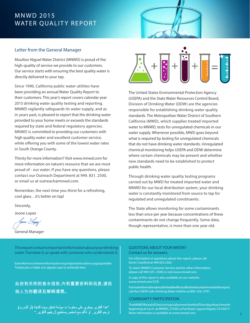# MNWD 2015 WATER QUALITY REPORT



### Letter from the General Manager

Moulton Niguel Water District (MNWD) is proud of the high-quality of service we provide to our customers. Our service starts with ensuring the best quality water is directly delivered to your tap.

Since 1990, California public water utilities have been providing an annual Water Quality Report to their customers. This year's report covers calendar year 2015 drinking water quality testing and reporting. MNWD vigilantly safeguards its water supply, and as in years past, is pleased to report that the drinking water provided to your home meets or exceeds the standards required by state and federal regulatory agencies. MNWD is committed to providing our customers with high quality water and excellent customer service, while offering you with some of the lowest water rates in South Orange County.

Thirsty for more information? Visit www.mnwd.com for more information on nature's resource that we are most proud of - our water. If you have any questions, please contact our Outreach Department at 949. 831. 2500, or email us at outreach@mnwd.com.

Remember, the next time you thirst for a refreshing, cool glass…it's better on tap!

Sincerely,

Joone Lopez

General Manager



The United States Environmental Protection Agency (USEPA) and the State Water Resources Control Board, Division of Drinking Water (DDW) are the agencies responsible for establishing drinking water quality standards. The Metropolitan Water District of Southern California (MWD), which supplies treated imported water to MNWD, tests for unregulated chemicals in our water supply. Whenever possible, MWD goes beyond what is required by testing for unregulated chemicals that do not have drinking water standards. Unregulated chemical monitoring helps USEPA and DDW determine where certain chemicals may be present and whether new standards need to be established to protect public health.

Through drinking water quality testing programs carried out by MWD for treated imported water and MNWD for our local distribution system, your drinking water is constantly monitored from source to tap for regulated and unregulated constituents.

The State allows monitoring for some contaminants less than once per year because concentrations of these contaminants do not change frequently. Some data, though representative, is more than one year old.

This report contains important information about your drinking water. Translate it, or speak with someone who understands it.

Este informe contiene información muy importante sobre su agua potable. Tradúzcalo o hable con alguien que lo entienda bien.

### 此份有关你的食水报告,内有重要资料和讯息,请找 他人为你翻译及解释清楚。

"هذا النقرير يحتوي على معلوماً ت مهمّة تتعلق بمياه الشفة (او الشرب). ترجم التقرير ۗ أو تكلَّم مع شخص يستطيع أن يفهم التَّقرير ."

#### QUESTIONS ABOUT YOUR WATER? Contact us for answers.

For information or questions about this report, please call Kevin Crawford at 949.425.3562.

To reach MNWD Customer Service and for other information, please call 949. 831. 2500 or visit www.mnwd.com.

A copy of this report is also available on our website: www.mnwd.com/CCR.

Formoreinformation about the health effects of the listed contaminants in this report, call the USEPA Safe Drinking Water Hotline at 800. 426. 4791.

#### COMMUNITY PARTICIPATION

The MNWD Board of Directors typically meets the third Thursday of each month beginning at 6 p.m. at MNWD, 27500 La Paz Road, Laguna Niguel, CA 92677. More information is available at www.mnwd.com.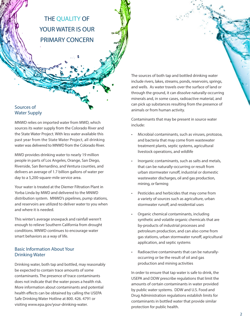THE QUALITY OF YOUR WATER IS OUR PRIMARY CONCERN

### Sources of Water Supply

MNWD relies on imported water from MWD, which sources its water supply from the Colorado River and the State Water Project. With less water available this past year from the State Water Project, all drinking water was delivered to MNWD from the Colorado River.

MWD provides drinking water to nearly 19 million people in parts of Los Angeles, Orange, San Diego, Riverside, San Bernardino, and Ventura counties, and delivers an average of 1.7 billion gallons of water per day to a 5,200-square-mile service area.

Your water is treated at the Diemer Filtration Plant in Yorba Linda by MWD and delivered to the MNWD distribution system. MNWD's pipelines, pump stations, and reservoirs are utilized to deliver water to you when and where it is needed.

This winter's average snowpack and rainfall weren't enough to relieve Southern California from drought conditions. MNWD continues to encourage water smart behaviors as a way of life.

### Basic Information About Your Drinking Water

Drinking water, both tap and bottled, may reasonably be expected to contain trace amounts of some contaminants. The presence of trace contaminants does not indicate that the water poses a health risk. More information about contaminants and potential health effects can be obtained by calling the USEPA Safe Drinking Water Hotline at 800. 426. 4791 or visiting www.epa.gov/your-drinking-water.

The sources of both tap and bottled drinking water include rivers, lakes, streams, ponds, reservoirs, springs, and wells. As water travels over the surface of land or through the ground, it can dissolve naturally-occurring minerals and, in some cases, radioactive material, and can pick up substances resulting from the presence of animals or from human activity.

Contaminants that may be present in source water include:

- Microbial contaminants, such as viruses, protozoa, and bacteria that may come from wastewater treatment plants, septic systems, agricultural livestock operations, and wildlife
- Inorganic contaminants, such as salts and metals, that can be naturally-occurring or result from urban stormwater runoff, industrial or domestic wastewater discharges, oil and gas production, mining, or farming
- Pesticides and herbicides that may come from a variety of sources such as agriculture, urban stormwater runoff, and residential uses
- Organic chemical contaminants, including synthetic and volatile organic chemicals that are by-products of industrial processes and petroleum production, and can also come from gas stations, urban stormwater runoff, agricultural application, and septic systems
- Radioactive contaminants that can be naturallyoccurring or be the result of oil and gas production and mining activities

In order to ensure that tap water is safe to drink, the USEPA and DDW prescribe regulations that limit the amounts of certain contaminants in water provided by public water systems. DDW and U.S. Food and Drug Administration regulations establish limits for contaminants in bottled water that provide similar protection for public health.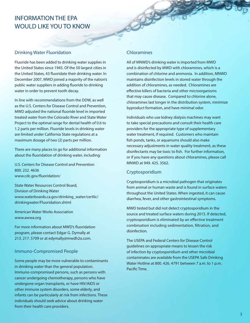# INFORMATION THE EPA WOULD LIKE YOU TO KNOW

### Drinking Water Fluoridation

Fluoride has been added to drinking water supplies in the United States since 1945. Of the 50 largest cities in the United States, 43 fluoridate their drinking water. In December 2007, MWD joined a majority of the nation's public water suppliers in adding fluoride to drinking water in order to prevent tooth decay.

In line with recommendations from the DDW, as well as the U.S. Centers for Disease Control and Prevention, MWD adjusted the national fluoride level in imported treated water from the Colorado River and State Water Project to the optimal range for dental health of 0.6 to 1.2 parts per million. Fluoride levels in drinking water are limited under California State regulations at a maximum dosage of two (2) parts per million.

There are many places to go for additional information about the fluoridation of drinking water, including:

U.S. Centers for Disease Control and Prevention 800. 232. 4636 www.cdc.gov/fluoridation/

State Water Resources Control Board, Division of Drinking Water www.waterboards.ca.gov/drinking\_water/certlic/ drinkingwater/Fluoridation.shtml

American Water Works Association www.awwa.org

For more information about MWD's fluoridation program, please contact Edgar G. Dymally at 213. 217. 5709 or at edymally@mwdh2o.com.

### Immuno-Compromised People

Some people may be more vulnerable to contaminants in drinking water than the general population. Immuno-compromised persons, such as persons with cancer undergoing chemotherapy, persons who have undergone organ transplants, or have HIV/AIDS or other immune system disorders, some elderly, and infants can be particularly at risk from infections. These individuals should seek advice about drinking water from their health care providers.

### Chloramines

S

All of MNWD's drinking water is imported from MWD and is disinfected by MWD with chloramines, which is a combination of chlorine and ammonia. In addition, MNWD maintains disinfection levels in stored water through the addition of chloramines, as needed. Chloramines are effective killers of bacteria and other microorganisms that may cause disease. Compared to chlorine alone, chloramines last longer in the distribution system, minimize byproduct formation, and have minimal odor.

Individuals who use kidney dialysis machines may want to take special precautions and consult their health care providers for the appropriate type of supplementary water treatment, if required. Customers who maintain fish ponds, tanks, or aquariums should also make necessary adjustments in water quality treatment, as these disinfectants may be toxic to fish. For further information, or if you have any questions about chloramines, please call MNWD at 949. 425. 3562.

### Cryptosporidium

Cryptosporidium is a microbial pathogen that originates from animal or human waste and is found in surface waters throughout the United States. When ingested, it can cause diarrhea, fever, and other gastrointestinal symptoms.

MWD tested but did not detect cryptosporidium in the source and treated surface waters during 2015. If detected, cryptosporidium is eliminated by an effective treatment combination including sedimentation, filtration, and disinfection.

The USEPA and Federal Centers for Disease Control guidelines on appropriate means to lessen the risk of infection by cryptosporidium and other microbial contaminates are available from the USEPA Safe Drinking Water Hotline at 800. 426. 4791 between 7 a.m. to 1 p.m. Pacific Time.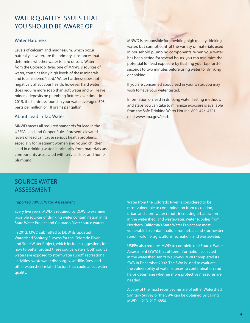# WATER QUALITY ISSUES THAT YOU SHOULD BE AWARE OF

### Water Hardness

Levels of calcium and magnesium, which occur naturally in water, are the primary substances that determine whether water is hard or soft. Water from the Colorado River, one of MNWD's sources of water, contains fairly high levels of these minerals and is considered "hard." Water hardness does not negatively affect your health; however, hard water does require more soap than soft water and will leave mineral deposits on plumbing fixtures over time. In 2015, the hardness found in your water averaged 303 parts per million or 18 grains per gallon.

#### About Lead in Tap Water

MNWD meets all required standards for lead in the USEPA Lead and Copper Rule. If present, elevated levels of lead can cause serious health problems, especially for pregnant women and young children. Lead in drinking water is primarily from materials and components associated with service lines and home plumbing.

MNWD is responsible for providing high quality drinking water, but cannot control the variety of materials used in household plumbing components. When your water has been sitting for several hours, you can minimize the potential for lead exposure by flushing your tap for 30 seconds to two minutes before using water for drinking or cooking.

If you are concerned about lead in your water, you may wish to have your water tested.

Information on lead in drinking water, testing methods, and steps you can take to minimize exposure is available from the Safe Drinking Water Hotline, 800. 426. 4791, or at www.epa.gov/lead.

# SOURCE WATER **ASSESSMENT**

#### Imported (MWD) Water Assessment

Every five years, MWD is required by DDW to examine possible sources of drinking water contamination in its State Water Project and Colorado River source waters.

In 2012, MWD submitted to DDW its updated Watershed Sanitary Surveys for the Colorado River and State Water Project, which include suggestions for how to better protect these source waters. Both source waters are exposed to stormwater runoff, recreational activities, wastewater discharges, wildlife, fires, and other watershed-related factors that could affect water quality.

Water from the Colorado River is considered to be most vulnerable to contamination from recreation, urban and stormwater runoff, increasing urbanization in the watershed, and wastewater. Water supplies from Northern California's State Water Project are most vulnerable to contamination from urban and stormwater runoff, wildlife, agriculture, recreation, and wastewater.

USEPA also requires MWD to complete one Source Water Assessment (SWA) that utilizes information collected in the watershed sanitary surveys. MWD completed its SWA in December 2002. The SWA is used to evaluate the vulnerability of water sources to contamination and helps determine whether more protective measures are needed.

A copy of the most recent summary of either Watershed Sanitary Survey or the SWA can be obtained by calling MWD at 213. 217. 6850.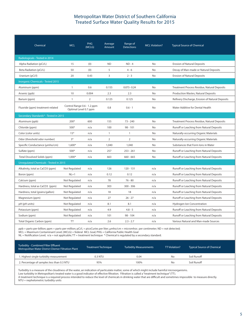### Metropolitan Water District of Southern California Treated Surface Water Quality Results for 2015

| Chemical                                      | <b>MCL</b>                                           | PHG<br>(MCLG) | Average<br>Amount | Range of<br><b>Detections</b> | <b>MCL Violation?</b> | <b>Typical Source of Chemical</b>               |  |  |
|-----------------------------------------------|------------------------------------------------------|---------------|-------------------|-------------------------------|-----------------------|-------------------------------------------------|--|--|
| Radiologicals - Tested in 2014                |                                                      |               |                   |                               |                       |                                                 |  |  |
| Alpha Radiation (pCi/L)                       | 15                                                   | (0)           | <b>ND</b>         | $ND - 4$                      | No                    | <b>Erosion of Natural Deposits</b>              |  |  |
| Beta Radiation (pCi/L)                        | 50                                                   | (0)           | 5                 | $4 - 6$                       | No                    | Decay of Man-made or Natural Deposits           |  |  |
| Uranium (pCi/l)                               | 20                                                   | 0.43          | 3                 | $2 - 3$                       | No                    | <b>Erosion of Natural Deposits</b>              |  |  |
| <b>Inorganic Chemicals - Tested 2015</b>      |                                                      |               |                   |                               |                       |                                                 |  |  |
| Aluminum (ppm)                                | $\mathbf{1}$                                         | 0.6           | 0.155             | $0.073 - 0.24$                | <b>No</b>             | Treatment Process Residue, Natural Deposits     |  |  |
| Arsenic (ppb)                                 | 10                                                   | 0.004         | 2.3               | 2.3                           | <b>No</b>             | Production Wastes, Natural Deposits             |  |  |
| Barium (ppm)                                  | $\mathbf{1}$                                         | 2             | 0.125             | 0.125                         | <b>No</b>             | Refinery Discharge, Erosion of Natural Deposits |  |  |
| Fluoride (ppm) treatment-related              | Control Range 0.6 - 1.2 ppm<br>Optimal Level 0.7 ppm |               | 0.8               | $0.6 - 1$                     | No                    | Water Additive for Dental Health                |  |  |
| Secondary Standards* - Tested in 2015         |                                                      |               |                   |                               |                       |                                                 |  |  |
| Aluminum (ppb)                                | $200*$                                               | 600           | 155               | $73 - 240$                    | <b>No</b>             | Treatment Process Residue, Natural Deposits     |  |  |
| Chloride (ppm)                                | $500*$                                               | n/a           | 100               | $98 - 101$                    | <b>No</b>             | Runoff or Leaching from Natural Deposits        |  |  |
| Color (color units)                           | $15*$                                                | n/a           | $\mathbf{1}$      | 1                             | No                    | Naturally-occurring Organic Materials           |  |  |
| Odor (threshold odor number)                  | $3*$                                                 | n/a           | $\overline{2}$    | $\overline{2}$                | <b>No</b>             | Naturally-occurring Organic Materials           |  |  |
| Specific Conductance (umho/cm)                | $1.600*$                                             | n/a           | 1,040             | 1,040                         | <b>No</b>             | Substances that Form Jons in Water              |  |  |
| Sulfate (ppm)                                 | $500*$                                               | n/a           | 257               | 253 - 261                     | No.                   | Runoff or Leaching from Natural Deposits        |  |  |
| Total Dissolved Solids (ppm)                  | $1,000*$                                             | n/a           | 663               | $660 - 665$                   | No                    | Runoff or Leaching from Natural Deposits        |  |  |
| <b>Unregulated Chemicals - Tested in 2015</b> |                                                      |               |                   |                               |                       |                                                 |  |  |
| Alkalinity, total as CaCO3 (ppm)              | Not Regulated                                        | n/a           | 126               | $120 - 131$                   | n/a                   | Runoff or Leaching from Natural Deposits        |  |  |
| Boron (ppm)                                   | $NL=1$                                               | n/a           | 0.12              | 0.12                          | n/a                   | Runoff or Leaching from Natural Deposits        |  |  |
| Calcium (ppm)                                 | Not Regulated                                        | n/a           | 78                | $76 - 80$                     | n/a                   | Runoff or Leaching from Natural Deposits        |  |  |
| Hardness, total as CaCO3 (ppm)                | Not Regulated                                        | n/a           | 303               | 300 - 306                     | n/a                   | Runoff or Leaching from Natural Deposits        |  |  |
| Hardness, total (grains/gallon)               | Not Regulated                                        | n/a           | 18                | 18                            | n/a                   | Runoff or Leaching from Natural Deposits        |  |  |
| Magnesium (ppm)                               | Not Regulated                                        | n/a           | 27                | $26 - 27$                     | n/a                   | Runoff or Leaching from Natural Deposits        |  |  |
| pH (pH units)                                 | Not Regulated                                        | n/a           | 8.1               | 8.1                           | n/a                   | Hydrogen Ion Concentration                      |  |  |
| Potassium (ppm)                               | Not Regulated                                        | n/a           | 4.9               | $4.8 - 5$                     | n/a                   | Runoff or Leaching from Natural Deposits        |  |  |
| Sodium (ppm)                                  | Not Regulated                                        | n/a           | 101               | $98 - 104$                    | n/a                   | Runoff or Leaching from Natural Deposits        |  |  |
| Total Organic Carbon (ppm)                    | <b>TT</b>                                            | n/a           | 2.6               | $2.3 - 2.7$                   | n/a                   | Various Natural and Man-made Sources            |  |  |

ppb = parts-per-billion; ppm = parts-per-million; pCi/L = picoCuries per liter; µmho/cm = micromhos per centimeter; ND = not detected;

MCL = Maximum Contaminant Level; (MCLG) = federal MCL Goal; PHG = California Public Health Goal

NL = Notification Level; n/a = not applicable; TT = treatment technique \* Chemical is regulated by a secondary standard.

| Turbidity - Combined Filter Effluent<br>Metropolitan Water District Diemer Filtration Plant | Treatment Technique | <b>Turbidity Measurements</b> | TT Violation? | <b>Typical Source of Chemical</b> |
|---------------------------------------------------------------------------------------------|---------------------|-------------------------------|---------------|-----------------------------------|
| 1. Highest single turbidity measurement                                                     | 0.3 NTU             | 0.04                          | No.           | Soil Runoff                       |
| 2. Percentage of samples less than 0.3 NTU                                                  | 95%                 | 100%                          | No.           | Soil Runoff                       |

Turbidity is a measure of the cloudiness of the water, an indication of particulate matter, some of which might include harmful microorganisms. Low turbidity in Metropolitan's treated water is a good indicator of effective filtration. Filtration is called a "treatment technique" (TT). A treatment technique is a required process intended to reduce the level of chemicals in drinking water that are difficult and sometimes impossible to measure directly. NTU = nephelometric turbidity units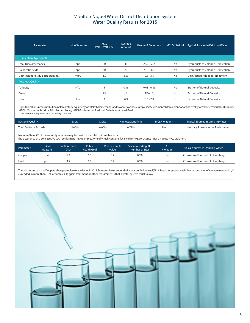### Moulton Niguel Water District Distribution System Water Quality Results for 2015

| Parameter                           | Unit of Measure | <b>MCL</b><br>(MRDL/MRDLG) | Average<br>Amount | <b>Range of Detections</b> | <b>MCL Violation?</b> | <b>Typical Sources in Drinking Water</b>   |
|-------------------------------------|-----------------|----------------------------|-------------------|----------------------------|-----------------------|--------------------------------------------|
| <b>Disinfection Byproducts</b>      |                 |                            |                   |                            |                       |                                            |
| <b>Total Trihalomethanes</b>        | ppb             | 80                         | 41                | $25.2 - 53.4$              | <b>No</b>             | <b>Byproducts of Chlorine Disinfection</b> |
| Haloacetic Acids                    | ppb             | 60                         | 21                | $5.1 - 26.7$               | <b>No</b>             | <b>Byproducts of Chlorine Disinfection</b> |
| Disinfectant Residual (chloramines) | mq/L            | 4.0                        | 2.03              | $0.3 - 3.5$                | <b>No</b>             | Disinfection Added for Treatment           |
| <b>Aesthetic Quality</b>            |                 |                            |                   |                            |                       |                                            |
| Turbidity                           | <b>NTU</b>      | 5                          | 0.16              | $0.08 - 0.86$              | <b>No</b>             | Erosion of Natural Deposits                |
| Color                               | cu              | 15                         | $<$ 5             | $ND - < 5$                 | <b>No</b>             | <b>Erosion of Natural Deposits</b>         |
| Odor                                | ton             | 3                          | 0.9               | $0.5 - 2.0$                | <b>No</b>             | <b>Erosion of Natural Deposits</b>         |

Eight (8) locations in the distribution system are tested quarterly for total trihalomethanes and haloacetic acids; 52 samples are tested monthly forcolor and odor, and weekly for chlorine residual and turbidity. MRDL: Maximum Residual Disinfectant Level; MRDLG: Maximum Residual Disinfectant Level Goal \*Contaminant is regulated by a secondary standard

| <b>Bacterial Quality</b> | MCL   | MCLG  | Highest Monthly % | <b>MCL Violation?</b> | <b>Typical Sources in Drinking Water</b> |
|--------------------------|-------|-------|-------------------|-----------------------|------------------------------------------|
| Total Coliform Bacteria  | 5.00% | 0.00% | 0.79%             |                       | Naturally Present in the Environment     |

No more than 5% of the monthly samples may be positive for total coliform bacteria. the occurence of 2 consecutive total coliform positive samples, one of which contains fecal coliform/E.coli, constitutes an acute MCL violation.

| Parameter | Unit of<br>Measure | <b>Action Level</b><br>(AL) | Public<br><b>Health Goal</b> | 90th Percentile<br>Value | Sites exceeding AL/<br>Number of Sites | <b>AL</b><br><b>Violation</b> | Typical Sources in Drinking Water |
|-----------|--------------------|-----------------------------|------------------------------|--------------------------|----------------------------------------|-------------------------------|-----------------------------------|
| Copper    | ppm                | د. ا                        | 0.3                          | 0.2                      | 0/50                                   | No                            | Corrosion of House-hold Plumbing  |
| Lead      | ppb                |                             | 0.2                          | 3.4                      | 0/50                                   | No                            | Corrosion of House-hold Plumbing  |
|           |                    |                             |                              |                          |                                        |                               |                                   |

The most recent Lead and Copper at the tap samples were collected in 2015. Zero samples exceeded the Regulatory Action Level (AL). A Regulatory Action level is the concentration of a contaminant which, if exceeded in more than 10% of samples, triggers treatment or other requirements that a water system must follow.